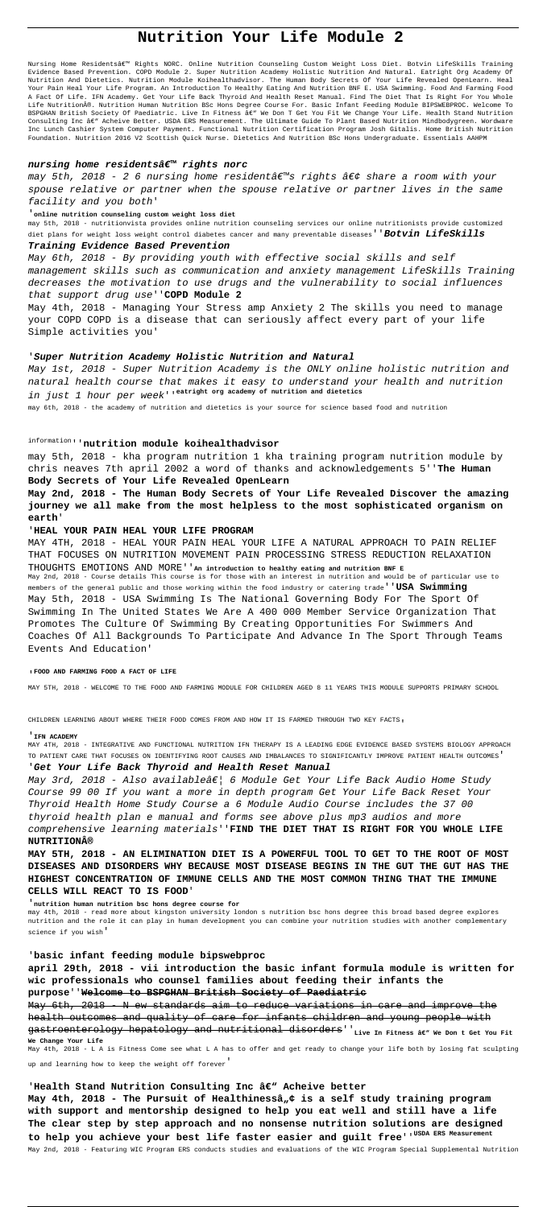# **Nutrition Your Life Module 2**

Nursing Home Residentsâ€<sup>mu</sup> Rights NORC. Online Nutrition Counseling Custom Weight Loss Diet. Botvin LifeSkills Training Evidence Based Prevention. COPD Module 2. Super Nutrition Academy Holistic Nutrition And Natural. Eatright Org Academy Of Nutrition And Dietetics. Nutrition Module Koihealthadvisor. The Human Body Secrets Of Your Life Revealed OpenLearn. Heal Your Pain Heal Your Life Program. An Introduction To Healthy Eating And Nutrition BNF E. USA Swimming. Food And Farming Food A Fact Of Life. IFN Academy. Get Your Life Back Thyroid And Health Reset Manual. Find The Diet That Is Right For You Whole Life Nutrition®. Nutrition Human Nutrition BSc Hons Degree Course For. Basic Infant Feeding Module BIPSWEBPROC. Welcome To BSPGHAN British Society Of Paediatric. Live In Fitness â€" We Don T Get You Fit We Change Your Life. Health Stand Nutrition Consulting Inc âe" Acheive Better. USDA ERS Measurement. The Ultimate Guide To Plant Based Nutrition Mindbodygreen. Wordware Inc Lunch Cashier System Computer Payment. Functional Nutrition Certification Program Josh Gitalis. Home British Nutrition Foundation. Nutrition 2016 V2 Scottish Quick Nurse. Dietetics And Nutrition BSc Hons Undergraduate. Essentials AAHPM

## nursing home residentsâ€<sup>™</sup> rights norc

may 5th, 2018 - 2 6 nursing home residentâ $\varepsilon^{m}$ s rights â $\varepsilon$ ¢ share a room with your spouse relative or partner when the spouse relative or partner lives in the same facility and you both'

### '**online nutrition counseling custom weight loss diet**

may 5th, 2018 - nutritionvista provides online nutrition counseling services our online nutritionists provide customized diet plans for weight loss weight control diabetes cancer and many preventable diseases''**Botvin LifeSkills**

# **Training Evidence Based Prevention**

May 6th, 2018 - By providing youth with effective social skills and self management skills such as communication and anxiety management LifeSkills Training decreases the motivation to use drugs and the vulnerability to social influences that support drug use''**COPD Module 2**

May 4th, 2018 - Managing Your Stress amp Anxiety 2 The skills you need to manage your COPD COPD is a disease that can seriously affect every part of your life Simple activities you'

# '**Super Nutrition Academy Holistic Nutrition and Natural**

May 1st, 2018 - Super Nutrition Academy is the ONLY online holistic nutrition and natural health course that makes it easy to understand your health and nutrition in just 1 hour per week''**eatright org academy of nutrition and dietetics**

May 3rd, 2018 - Also availableâ€| 6 Module Get Your Life Back Audio Home Study Course 99 00 If you want a more in depth program Get Your Life Back Reset Your Thyroid Health Home Study Course a 6 Module Audio Course includes the 37 00 thyroid health plan e manual and forms see above plus mp3 audios and more comprehensive learning materials''**FIND THE DIET THAT IS RIGHT FOR YOU WHOLE LIFE NUTRITION®**

may 6th, 2018 - the academy of nutrition and dietetics is your source for science based food and nutrition

# information''**nutrition module koihealthadvisor**

may 5th, 2018 - kha program nutrition 1 kha training program nutrition module by chris neaves 7th april 2002 a word of thanks and acknowledgements 5''**The Human Body Secrets of Your Life Revealed OpenLearn**

**May 2nd, 2018 - The Human Body Secrets of Your Life Revealed Discover the amazing journey we all make from the most helpless to the most sophisticated organism on earth**'

# '**HEAL YOUR PAIN HEAL YOUR LIFE PROGRAM**

MAY 4TH, 2018 - HEAL YOUR PAIN HEAL YOUR LIFE A NATURAL APPROACH TO PAIN RELIEF THAT FOCUSES ON NUTRITION MOVEMENT PAIN PROCESSING STRESS REDUCTION RELAXATION THOUGHTS EMOTIONS AND MORE''**An introduction to healthy eating and nutrition BNF E** May 2nd, 2018 - Course details This course is for those with an interest in nutrition and would be of particular use to members of the general public and those working within the food industry or catering trade''**USA Swimming** May 5th, 2018 - USA Swimming Is The National Governing Body For The Sport Of Swimming In The United States We Are A 400 000 Member Service Organization That Promotes The Culture Of Swimming By Creating Opportunities For Swimmers And Coaches Of All Backgrounds To Participate And Advance In The Sport Through Teams Events And Education'

#### '**FOOD AND FARMING FOOD A FACT OF LIFE**

MAY 5TH, 2018 - WELCOME TO THE FOOD AND FARMING MODULE FOR CHILDREN AGED 8 11 YEARS THIS MODULE SUPPORTS PRIMARY SCHOOL

CHILDREN LEARNING ABOUT WHERE THEIR FOOD COMES FROM AND HOW IT IS FARMED THROUGH TWO KEY FACTS,

#### '**IFN ACADEMY**

MAY 4TH, 2018 - INTEGRATIVE AND FUNCTIONAL NUTRITION IFN THERAPY IS A LEADING EDGE EVIDENCE BASED SYSTEMS BIOLOGY APPROACH TO PATIENT CARE THAT FOCUSES ON IDENTIFYING ROOT CAUSES AND IMBALANCES TO SIGNIFICANTLY IMPROVE PATIENT HEALTH OUTCOMES' '**Get Your Life Back Thyroid and Health Reset Manual**

**MAY 5TH, 2018 - AN ELIMINATION DIET IS A POWERFUL TOOL TO GET TO THE ROOT OF MOST DISEASES AND DISORDERS WHY BECAUSE MOST DISEASE BEGINS IN THE GUT THE GUT HAS THE HIGHEST CONCENTRATION OF IMMUNE CELLS AND THE MOST COMMON THING THAT THE IMMUNE**

#### **CELLS WILL REACT TO IS FOOD**'

# '**nutrition human nutrition bsc hons degree course for**

may 4th, 2018 - read more about kingston university london s nutrition bsc hons degree this broad based degree explores nutrition and the role it can play in human development you can combine your nutrition studies with another complementary science if you wish'

# '**basic infant feeding module bipswebproc**

**april 29th, 2018 - vii introduction the basic infant formula module is written for wic professionals who counsel families about feeding their infants the purpose**''**Welcome to BSPGHAN British Society of Paediatric**

May 6th, 2018 - N ew standards aim to reduce variations in care and improve the health outcomes and quality of care for infants children and young people with gastroenterology hepatology and nutritional disorders''<sub>Live In Fitness â</sub>ew We Don t Get You Fit **We Change Your Life** May 4th, 2018 - L A is Fitness Come see what L A has to offer and get ready to change your life both by losing fat sculpting up and learning how to keep the weight off forever'

'Health Stand Nutrition Consulting Inc â<sup>ew</sup> Acheive better May 4th, 2018 - The Pursuit of Healthinessâ<sub>n</sub>¢ is a self study training program **with support and mentorship designed to help you eat well and still have a life The clear step by step approach and no nonsense nutrition solutions are designed** to help you achieve your best life faster easier and guilt free<sup>''USDA ERS Measurement</sup>

May 2nd, 2018 - Featuring WIC Program ERS conducts studies and evaluations of the WIC Program Special Supplemental Nutrition